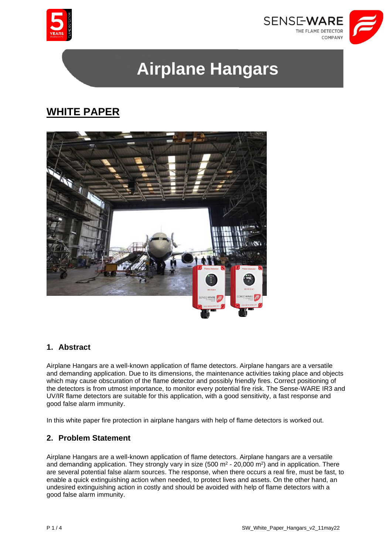



# **Airplane Hangars**

# **WHITE PAPER**



## **1. Abstract**

Airplane Hangars are a well-known application of flame detectors. Airplane hangars are a versatile and demanding application. Due to its dimensions, the maintenance activities taking place and objects which may cause obscuration of the flame detector and possibly friendly fires. Correct positioning of the detectors is from utmost importance, to monitor every potential fire risk. The Sense-WARE IR3 and UV/IR flame detectors are suitable for this application, with a good sensitivity, a fast response and good false alarm immunity.

In this white paper fire protection in airplane hangars with help of flame detectors is worked out.

## **2. Problem Statement**

Airplane Hangars are a well-known application of flame detectors. Airplane hangars are a versatile and demanding application. They strongly vary in size  $(500 \text{ m}^2 \cdot 20,000 \text{ m}^2)$  and in application. There are several potential false alarm sources. The response, when there occurs a real fire, must be fast, to enable a quick extinguishing action when needed, to protect lives and assets. On the other hand, an undesired extinguishing action in costly and should be avoided with help of flame detectors with a good false alarm immunity.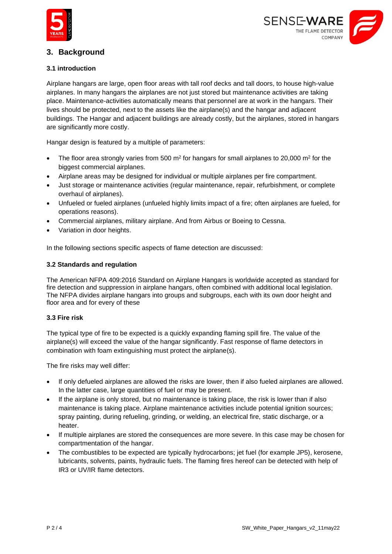



# **3. Background**

#### **3.1 introduction**

Airplane hangars are large, open floor areas with tall roof decks and tall doors, to house high-value airplanes. In many hangars the airplanes are not just stored but maintenance activities are taking place. Maintenance-activities automatically means that personnel are at work in the hangars. Their lives should be protected, next to the assets like the airplane(s) and the hangar and adjacent buildings. The Hangar and adjacent buildings are already costly, but the airplanes, stored in hangars are significantly more costly.

Hangar design is featured by a multiple of parameters:

- The floor area strongly varies from 500 m<sup>2</sup> for hangars for small airplanes to 20,000 m<sup>2</sup> for the biggest commercial airplanes.
- Airplane areas may be designed for individual or multiple airplanes per fire compartment.
- Just storage or maintenance activities (regular maintenance, repair, refurbishment, or complete overhaul of airplanes).
- Unfueled or fueled airplanes (unfueled highly limits impact of a fire; often airplanes are fueled, for operations reasons).
- Commercial airplanes, military airplane. And from Airbus or Boeing to Cessna.
- Variation in door heights.

In the following sections specific aspects of flame detection are discussed:

#### **3.2 Standards and regulation**

The American NFPA 409:2016 Standard on Airplane Hangars is worldwide accepted as standard for fire detection and suppression in airplane hangars, often combined with additional local legislation. The NFPA divides airplane hangars into groups and subgroups, each with its own door height and floor area and for every of these

#### **3.3 Fire risk**

The typical type of fire to be expected is a quickly expanding flaming spill fire. The value of the airplane(s) will exceed the value of the hangar significantly. Fast response of flame detectors in combination with foam extinguishing must protect the airplane(s).

The fire risks may well differ:

- If only defueled airplanes are allowed the risks are lower, then if also fueled airplanes are allowed. In the latter case, large quantities of fuel or may be present.
- If the airplane is only stored, but no maintenance is taking place, the risk is lower than if also maintenance is taking place. Airplane maintenance activities include potential ignition sources; spray painting, during refueling, grinding, or welding, an electrical fire, static discharge, or a heater.
- If multiple airplanes are stored the consequences are more severe. In this case may be chosen for compartmentation of the hangar.
- The combustibles to be expected are typically hydrocarbons; jet fuel (for example JP5), kerosene, lubricants, solvents, paints, hydraulic fuels. The flaming fires hereof can be detected with help of IR3 or UV/IR flame detectors.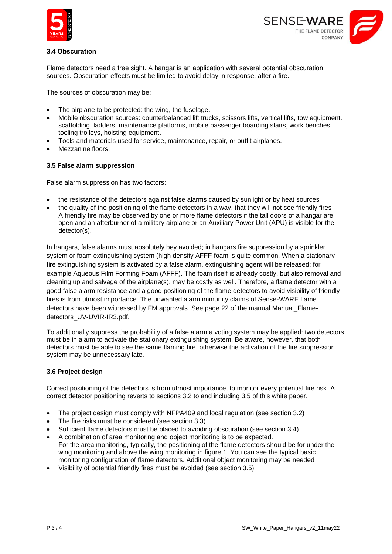



#### **3.4 Obscuration**

Flame detectors need a free sight. A hangar is an application with several potential obscuration sources. Obscuration effects must be limited to avoid delay in response, after a fire.

The sources of obscuration may be:

- The airplane to be protected: the wing, the fuselage.
- Mobile obscuration sources: counterbalanced lift trucks, scissors lifts, vertical lifts, tow equipment. scaffolding, ladders, maintenance platforms, mobile passenger boarding stairs, work benches, tooling trolleys, hoisting equipment.
- Tools and materials used for service, maintenance, repair, or outfit airplanes.
- Mezzanine floors.

#### **3.5 False alarm suppression**

False alarm suppression has two factors:

- the resistance of the detectors against false alarms caused by sunlight or by heat sources
- the quality of the positioning of the flame detectors in a way, that they will not see friendly fires A friendly fire may be observed by one or more flame detectors if the tall doors of a hangar are open and an afterburner of a military airplane or an Auxiliary Power Unit (APU) is visible for the detector(s).

In hangars, false alarms must absolutely bey avoided; in hangars fire suppression by a sprinkler system or foam extinguishing system (high density AFFF foam is quite common. When a stationary fire extinguishing system is activated by a false alarm, extinguishing [agent](https://dict.leo.org/englisch-deutsch/agent) will be released; for example Aqueous Film Forming Foam (AFFF). The foam itself is already costly, but also removal and cleaning up and salvage of the airplane(s). may be costly as well. Therefore, a flame detector with a good false alarm resistance and a good positioning of the flame detectors to avoid visibility of friendly fires is from utmost importance. The unwanted alarm immunity claims of Sense-WARE flame detectors have been witnessed by FM approvals. See page 22 of the manual Manual\_Flamedetectors\_UV-UVIR-IR3.pdf.

To additionally suppress the probability of a false alarm a voting system may be applied: two detectors must be in alarm to activate the stationary extinguishing system. Be aware, however, that both detectors must be able to see the same flaming fire, otherwise the activation of the fire suppression system may be unnecessary late.

#### **3.6 Project design**

Correct positioning of the detectors is from utmost importance, to monitor every potential fire risk. A correct detector positioning reverts to sections 3.2 to and including 3.5 of this white paper.

- The project design must comply with NFPA409 and local regulation (see section 3.2)
- The fire risks must be considered (see section 3.3)
- Sufficient flame detectors must be placed to avoiding obscuration (see section 3.4)
- A combination of area monitoring and object monitoring is to be expected. For the area monitoring, typically, the positioning of the flame detectors should be for under the wing monitoring and above the wing monitoring in figure 1. You can see the typical basic monitoring configuration of flame detectors. Additional object monitoring may be needed
- Visibility of potential friendly fires must be avoided (see section 3.5)